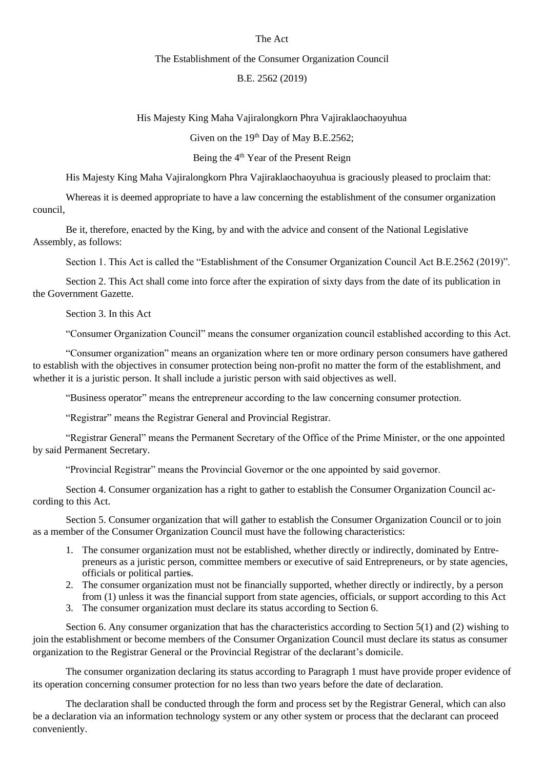## The Act

### The Establishment of the Consumer Organization Council

## B.E. 2562 (2019)

### His Majesty King Maha Vajiralongkorn Phra Vajiraklaochaoyuhua

Given on the  $19<sup>th</sup>$  Day of May B.E.2562;

# Being the 4<sup>th</sup> Year of the Present Reign

His Majesty King Maha Vajiralongkorn Phra Vajiraklaochaoyuhua is graciously pleased to proclaim that:

Whereas it is deemed appropriate to have a law concerning the establishment of the consumer organization council,

Be it, therefore, enacted by the King, by and with the advice and consent of the National Legislative Assembly, as follows:

Section 1. This Act is called the "Establishment of the Consumer Organization Council Act B.E.2562 (2019)".

Section 2. This Act shall come into force after the expiration of sixty days from the date of its publication in the Government Gazette.

Section 3. In this Act

"Consumer Organization Council" means the consumer organization council established according to this Act.

"Consumer organization" means an organization where ten or more ordinary person consumers have gathered to establish with the objectives in consumer protection being non-profit no matter the form of the establishment, and whether it is a juristic person. It shall include a juristic person with said objectives as well.

"Business operator" means the entrepreneur according to the law concerning consumer protection.

"Registrar" means the Registrar General and Provincial Registrar.

"Registrar General" means the Permanent Secretary of the Office of the Prime Minister, or the one appointed by said Permanent Secretary.

"Provincial Registrar" means the Provincial Governor or the one appointed by said governor.

Section 4. Consumer organization has a right to gather to establish the Consumer Organization Council according to this Act.

Section 5. Consumer organization that will gather to establish the Consumer Organization Council or to join as a member of the Consumer Organization Council must have the following characteristics:

- 1. The consumer organization must not be established, whether directly or indirectly, dominated by Entrepreneurs as a juristic person, committee members or executive of said Entrepreneurs, or by state agencies, officials or political parties.
- 2. The consumer organization must not be financially supported, whether directly or indirectly, by a person from (1) unless it was the financial support from state agencies, officials, or support according to this Act
- 3. The consumer organization must declare its status according to Section 6.

Section 6. Any consumer organization that has the characteristics according to Section 5(1) and (2) wishing to join the establishment or become members of the Consumer Organization Council must declare its status as consumer organization to the Registrar General or the Provincial Registrar of the declarant's domicile.

The consumer organization declaring its status according to Paragraph 1 must have provide proper evidence of its operation concerning consumer protection for no less than two years before the date of declaration.

The declaration shall be conducted through the form and process set by the Registrar General, which can also be a declaration via an information technology system or any other system or process that the declarant can proceed conveniently.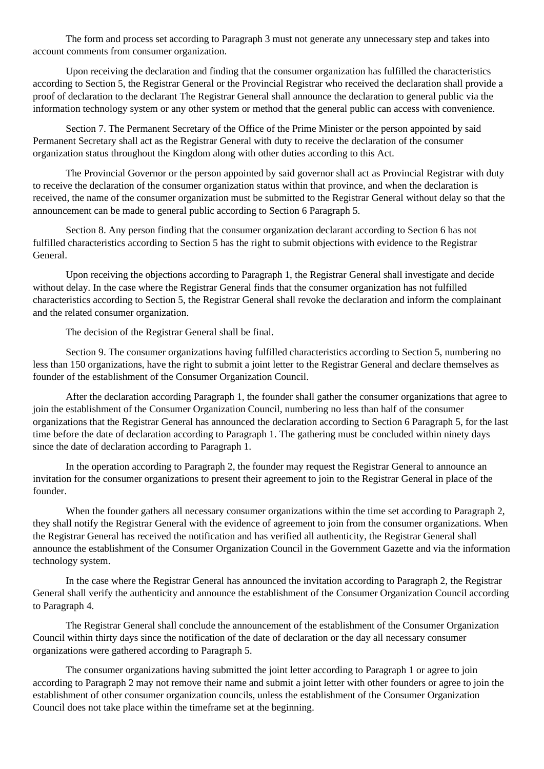The form and process set according to Paragraph 3 must not generate any unnecessary step and takes into account comments from consumer organization.

Upon receiving the declaration and finding that the consumer organization has fulfilled the characteristics according to Section 5, the Registrar General or the Provincial Registrar who received the declaration shall provide a proof of declaration to the declarant The Registrar General shall announce the declaration to general public via the information technology system or any other system or method that the general public can access with convenience.

Section 7. The Permanent Secretary of the Office of the Prime Minister or the person appointed by said Permanent Secretary shall act as the Registrar General with duty to receive the declaration of the consumer organization status throughout the Kingdom along with other duties according to this Act.

The Provincial Governor or the person appointed by said governor shall act as Provincial Registrar with duty to receive the declaration of the consumer organization status within that province, and when the declaration is received, the name of the consumer organization must be submitted to the Registrar General without delay so that the announcement can be made to general public according to Section 6 Paragraph 5.

Section 8. Any person finding that the consumer organization declarant according to Section 6 has not fulfilled characteristics according to Section 5 has the right to submit objections with evidence to the Registrar General.

Upon receiving the objections according to Paragraph 1, the Registrar General shall investigate and decide without delay. In the case where the Registrar General finds that the consumer organization has not fulfilled characteristics according to Section 5, the Registrar General shall revoke the declaration and inform the complainant and the related consumer organization.

The decision of the Registrar General shall be final.

Section 9. The consumer organizations having fulfilled characteristics according to Section 5, numbering no less than 150 organizations, have the right to submit a joint letter to the Registrar General and declare themselves as founder of the establishment of the Consumer Organization Council.

After the declaration according Paragraph 1, the founder shall gather the consumer organizations that agree to join the establishment of the Consumer Organization Council, numbering no less than half of the consumer organizations that the Registrar General has announced the declaration according to Section 6 Paragraph 5, for the last time before the date of declaration according to Paragraph 1. The gathering must be concluded within ninety days since the date of declaration according to Paragraph 1.

In the operation according to Paragraph 2, the founder may request the Registrar General to announce an invitation for the consumer organizations to present their agreement to join to the Registrar General in place of the founder.

When the founder gathers all necessary consumer organizations within the time set according to Paragraph 2, they shall notify the Registrar General with the evidence of agreement to join from the consumer organizations. When the Registrar General has received the notification and has verified all authenticity, the Registrar General shall announce the establishment of the Consumer Organization Council in the Government Gazette and via the information technology system.

In the case where the Registrar General has announced the invitation according to Paragraph 2, the Registrar General shall verify the authenticity and announce the establishment of the Consumer Organization Council according to Paragraph 4.

The Registrar General shall conclude the announcement of the establishment of the Consumer Organization Council within thirty days since the notification of the date of declaration or the day all necessary consumer organizations were gathered according to Paragraph 5.

The consumer organizations having submitted the joint letter according to Paragraph 1 or agree to join according to Paragraph 2 may not remove their name and submit a joint letter with other founders or agree to join the establishment of other consumer organization councils, unless the establishment of the Consumer Organization Council does not take place within the timeframe set at the beginning.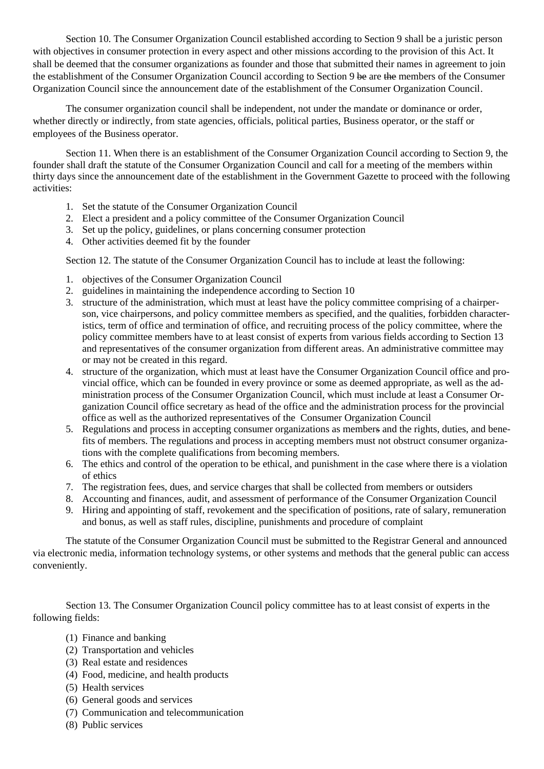Section 10. The Consumer Organization Council established according to Section 9 shall be a juristic person with objectives in consumer protection in every aspect and other missions according to the provision of this Act. It shall be deemed that the consumer organizations as founder and those that submitted their names in agreement to join the establishment of the Consumer Organization Council according to Section 9 be are the members of the Consumer Organization Council since the announcement date of the establishment of the Consumer Organization Council.

The consumer organization council shall be independent, not under the mandate or dominance or order, whether directly or indirectly, from state agencies, officials, political parties, Business operator, or the staff or employees of the Business operator.

Section 11. When there is an establishment of the Consumer Organization Council according to Section 9, the founder shall draft the statute of the Consumer Organization Council and call for a meeting of the members within thirty days since the announcement date of the establishment in the Government Gazette to proceed with the following activities:

- 1. Set the statute of the Consumer Organization Council
- 2. Elect a president and a policy committee of the Consumer Organization Council
- 3. Set up the policy, guidelines, or plans concerning consumer protection
- 4. Other activities deemed fit by the founder

Section 12. The statute of the Consumer Organization Council has to include at least the following:

- 1. objectives of the Consumer Organization Council
- 2. guidelines in maintaining the independence according to Section 10
- 3. structure of the administration, which must at least have the policy committee comprising of a chairperson, vice chairpersons, and policy committee members as specified, and the qualities, forbidden characteristics, term of office and termination of office, and recruiting process of the policy committee, where the policy committee members have to at least consist of experts from various fields according to Section 13 and representatives of the consumer organization from different areas. An administrative committee may or may not be created in this regard.
- 4. structure of the organization, which must at least have the Consumer Organization Council office and provincial office, which can be founded in every province or some as deemed appropriate, as well as the administration process of the Consumer Organization Council, which must include at least a Consumer Organization Council office secretary as head of the office and the administration process for the provincial office as well as the authorized representatives of the Consumer Organization Council
- 5. Regulations and process in accepting consumer organizations as members and the rights, duties, and benefits of members. The regulations and process in accepting members must not obstruct consumer organizations with the complete qualifications from becoming members.
- 6. The ethics and control of the operation to be ethical, and punishment in the case where there is a violation of ethics
- 7. The registration fees, dues, and service charges that shall be collected from members or outsiders
- 8. Accounting and finances, audit, and assessment of performance of the Consumer Organization Council
- 9. Hiring and appointing of staff, revokement and the specification of positions, rate of salary, remuneration and bonus, as well as staff rules, discipline, punishments and procedure of complaint

The statute of the Consumer Organization Council must be submitted to the Registrar General and announced via electronic media, information technology systems, or other systems and methods that the general public can access conveniently.

Section 13. The Consumer Organization Council policy committee has to at least consist of experts in the following fields:

- (1) Finance and banking
- (2) Transportation and vehicles
- (3) Real estate and residences
- (4) Food, medicine, and health products
- (5) Health services
- (6) General goods and services
- (7) Communication and telecommunication
- (8) Public services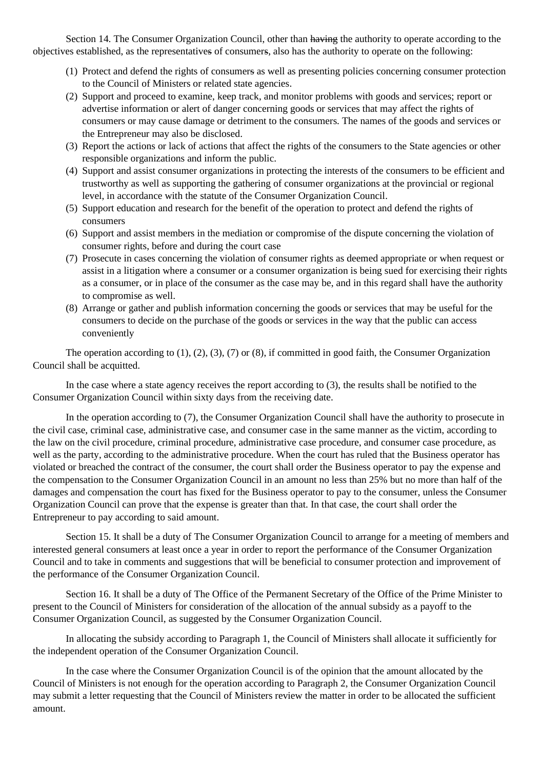Section 14. The Consumer Organization Council, other than having the authority to operate according to the objectives established, as the representatives of consumers, also has the authority to operate on the following:

- (1) Protect and defend the rights of consumers as well as presenting policies concerning consumer protection to the Council of Ministers or related state agencies.
- (2) Support and proceed to examine, keep track, and monitor problems with goods and services; report or advertise information or alert of danger concerning goods or services that may affect the rights of consumers or may cause damage or detriment to the consumers. The names of the goods and services or the Entrepreneur may also be disclosed.
- (3) Report the actions or lack of actions that affect the rights of the consumers to the State agencies or other responsible organizations and inform the public.
- (4) Support and assist consumer organizations in protecting the interests of the consumers to be efficient and trustworthy as well as supporting the gathering of consumer organizations at the provincial or regional level, in accordance with the statute of the Consumer Organization Council.
- (5) Support education and research for the benefit of the operation to protect and defend the rights of consumers
- (6) Support and assist members in the mediation or compromise of the dispute concerning the violation of consumer rights, before and during the court case
- (7) Prosecute in cases concerning the violation of consumer rights as deemed appropriate or when request or assist in a litigation where a consumer or a consumer organization is being sued for exercising their rights as a consumer, or in place of the consumer as the case may be, and in this regard shall have the authority to compromise as well.
- (8) Arrange or gather and publish information concerning the goods or services that may be useful for the consumers to decide on the purchase of the goods or services in the way that the public can access conveniently

The operation according to (1), (2), (3), (7) or (8), if committed in good faith, the Consumer Organization Council shall be acquitted.

In the case where a state agency receives the report according to (3), the results shall be notified to the Consumer Organization Council within sixty days from the receiving date.

In the operation according to (7), the Consumer Organization Council shall have the authority to prosecute in the civil case, criminal case, administrative case, and consumer case in the same manner as the victim, according to the law on the civil procedure, criminal procedure, administrative case procedure, and consumer case procedure, as well as the party, according to the administrative procedure. When the court has ruled that the Business operator has violated or breached the contract of the consumer, the court shall order the Business operator to pay the expense and the compensation to the Consumer Organization Council in an amount no less than 25% but no more than half of the damages and compensation the court has fixed for the Business operator to pay to the consumer, unless the Consumer Organization Council can prove that the expense is greater than that. In that case, the court shall order the Entrepreneur to pay according to said amount.

Section 15. It shall be a duty of The Consumer Organization Council to arrange for a meeting of members and interested general consumers at least once a year in order to report the performance of the Consumer Organization Council and to take in comments and suggestions that will be beneficial to consumer protection and improvement of the performance of the Consumer Organization Council.

Section 16. It shall be a duty of The Office of the Permanent Secretary of the Office of the Prime Minister to present to the Council of Ministers for consideration of the allocation of the annual subsidy as a payoff to the Consumer Organization Council, as suggested by the Consumer Organization Council.

In allocating the subsidy according to Paragraph 1, the Council of Ministers shall allocate it sufficiently for the independent operation of the Consumer Organization Council.

In the case where the Consumer Organization Council is of the opinion that the amount allocated by the Council of Ministers is not enough for the operation according to Paragraph 2, the Consumer Organization Council may submit a letter requesting that the Council of Ministers review the matter in order to be allocated the sufficient amount.